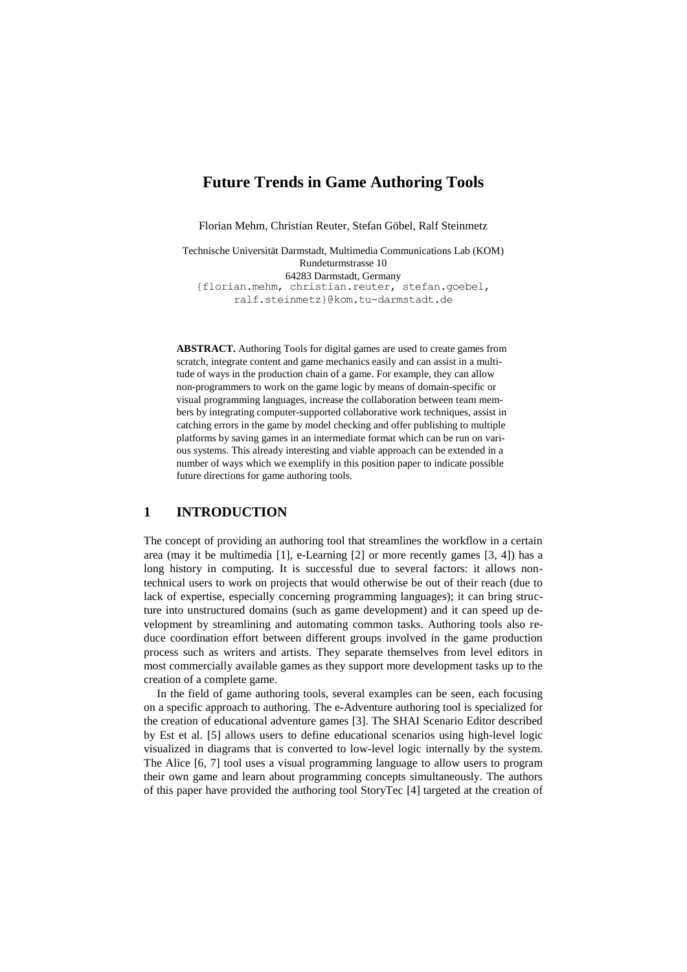# **Future Trends in Game Authoring Tools**

Florian Mehm, Christian Reuter, Stefan Göbel, Ralf Steinmetz

Technische Universität Darmstadt, Multimedia Communications Lab (KOM) Rundeturmstrasse 10 64283 Darmstadt, Germany {florian.mehm, christian.reuter, stefan.goebel, [ralf.steinmetz}@kom.tu-darmstadt.de](mailto:ralf.steinmetz%7d@kom.tu-darmstadt.de)

**ABSTRACT.** Authoring Tools for digital games are used to create games from scratch, integrate content and game mechanics easily and can assist in a multitude of ways in the production chain of a game. For example, they can allow non-programmers to work on the game logic by means of domain-specific or visual programming languages, increase the collaboration between team members by integrating computer-supported collaborative work techniques, assist in catching errors in the game by model checking and offer publishing to multiple platforms by saving games in an intermediate format which can be run on various systems. This already interesting and viable approach can be extended in a number of ways which we exemplify in this position paper to indicate possible future directions for game authoring tools.

## **1 INTRODUCTION**

The concept of providing an authoring tool that streamlines the workflow in a certain area (may it be multimedia [1], e-Learning [2] or more recently games [3, 4]) has a long history in computing. It is successful due to several factors: it allows nontechnical users to work on projects that would otherwise be out of their reach (due to lack of expertise, especially concerning programming languages); it can bring structure into unstructured domains (such as game development) and it can speed up development by streamlining and automating common tasks. Authoring tools also reduce coordination effort between different groups involved in the game production process such as writers and artists. They separate themselves from level editors in most commercially available games as they support more development tasks up to the creation of a complete game.

In the field of game authoring tools, several examples can be seen, each focusing on a specific approach to authoring. The e-Adventure authoring tool is specialized for the creation of educational adventure games [3]. The SHAI Scenario Editor described by Est et al. [5] allows users to define educational scenarios using high-level logic visualized in diagrams that is converted to low-level logic internally by the system. The Alice [6, 7] tool uses a visual programming language to allow users to program their own game and learn about programming concepts simultaneously. The authors of this paper have provided the authoring tool StoryTec [4] targeted at the creation of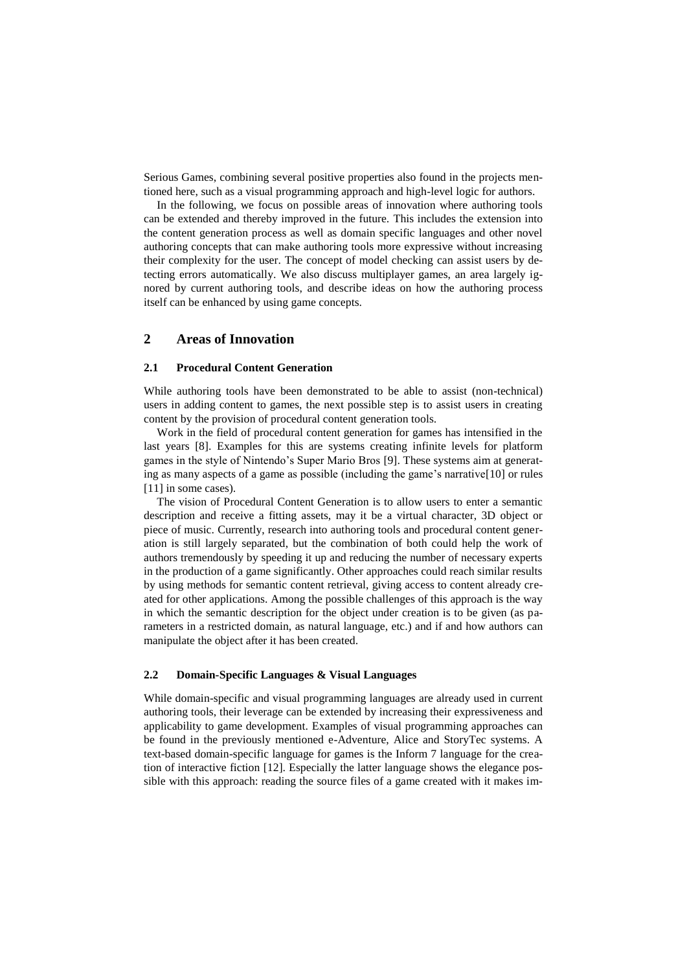Serious Games, combining several positive properties also found in the projects mentioned here, such as a visual programming approach and high-level logic for authors.

In the following, we focus on possible areas of innovation where authoring tools can be extended and thereby improved in the future. This includes the extension into the content generation process as well as domain specific languages and other novel authoring concepts that can make authoring tools more expressive without increasing their complexity for the user. The concept of model checking can assist users by detecting errors automatically. We also discuss multiplayer games, an area largely ignored by current authoring tools, and describe ideas on how the authoring process itself can be enhanced by using game concepts.

# **2 Areas of Innovation**

### **2.1 Procedural Content Generation**

While authoring tools have been demonstrated to be able to assist (non-technical) users in adding content to games, the next possible step is to assist users in creating content by the provision of procedural content generation tools.

Work in the field of procedural content generation for games has intensified in the last years [8]. Examples for this are systems creating infinite levels for platform games in the style of Nintendo's Super Mario Bros [9]. These systems aim at generating as many aspects of a game as possible (including the game's narrative[10] or rules [11] in some cases).

The vision of Procedural Content Generation is to allow users to enter a semantic description and receive a fitting assets, may it be a virtual character, 3D object or piece of music. Currently, research into authoring tools and procedural content generation is still largely separated, but the combination of both could help the work of authors tremendously by speeding it up and reducing the number of necessary experts in the production of a game significantly. Other approaches could reach similar results by using methods for semantic content retrieval, giving access to content already created for other applications. Among the possible challenges of this approach is the way in which the semantic description for the object under creation is to be given (as parameters in a restricted domain, as natural language, etc.) and if and how authors can manipulate the object after it has been created.

## **2.2 Domain-Specific Languages & Visual Languages**

While domain-specific and visual programming languages are already used in current authoring tools, their leverage can be extended by increasing their expressiveness and applicability to game development. Examples of visual programming approaches can be found in the previously mentioned e-Adventure, Alice and StoryTec systems. A text-based domain-specific language for games is the Inform 7 language for the creation of interactive fiction [12]. Especially the latter language shows the elegance possible with this approach: reading the source files of a game created with it makes im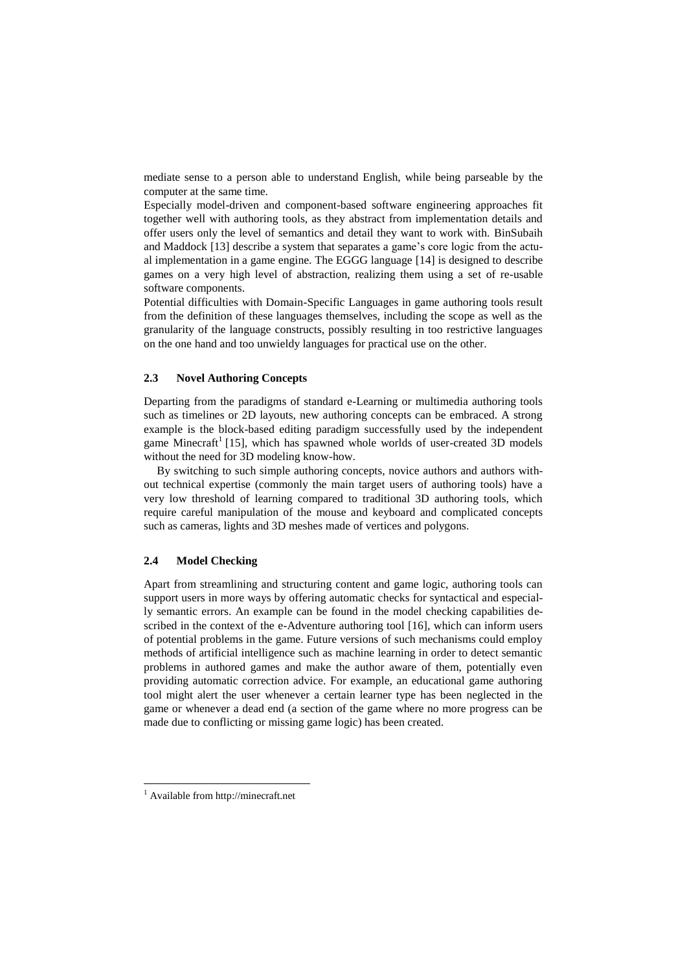mediate sense to a person able to understand English, while being parseable by the computer at the same time.

Especially model-driven and component-based software engineering approaches fit together well with authoring tools, as they abstract from implementation details and offer users only the level of semantics and detail they want to work with. BinSubaih and Maddock [13] describe a system that separates a game's core logic from the actual implementation in a game engine. The EGGG language [14] is designed to describe games on a very high level of abstraction, realizing them using a set of re-usable software components.

Potential difficulties with Domain-Specific Languages in game authoring tools result from the definition of these languages themselves, including the scope as well as the granularity of the language constructs, possibly resulting in too restrictive languages on the one hand and too unwieldy languages for practical use on the other.

### **2.3 Novel Authoring Concepts**

Departing from the paradigms of standard e-Learning or multimedia authoring tools such as timelines or 2D layouts, new authoring concepts can be embraced. A strong example is the block-based editing paradigm successfully used by the independent game Minecraft<sup>1</sup> [15], which has spawned whole worlds of user-created 3D models without the need for 3D modeling know-how.

By switching to such simple authoring concepts, novice authors and authors without technical expertise (commonly the main target users of authoring tools) have a very low threshold of learning compared to traditional 3D authoring tools, which require careful manipulation of the mouse and keyboard and complicated concepts such as cameras, lights and 3D meshes made of vertices and polygons.

## **2.4 Model Checking**

Apart from streamlining and structuring content and game logic, authoring tools can support users in more ways by offering automatic checks for syntactical and especially semantic errors. An example can be found in the model checking capabilities described in the context of the e-Adventure authoring tool [16], which can inform users of potential problems in the game. Future versions of such mechanisms could employ methods of artificial intelligence such as machine learning in order to detect semantic problems in authored games and make the author aware of them, potentially even providing automatic correction advice. For example, an educational game authoring tool might alert the user whenever a certain learner type has been neglected in the game or whenever a dead end (a section of the game where no more progress can be made due to conflicting or missing game logic) has been created.

 $\overline{a}$ 

<sup>1</sup> Available from http://minecraft.net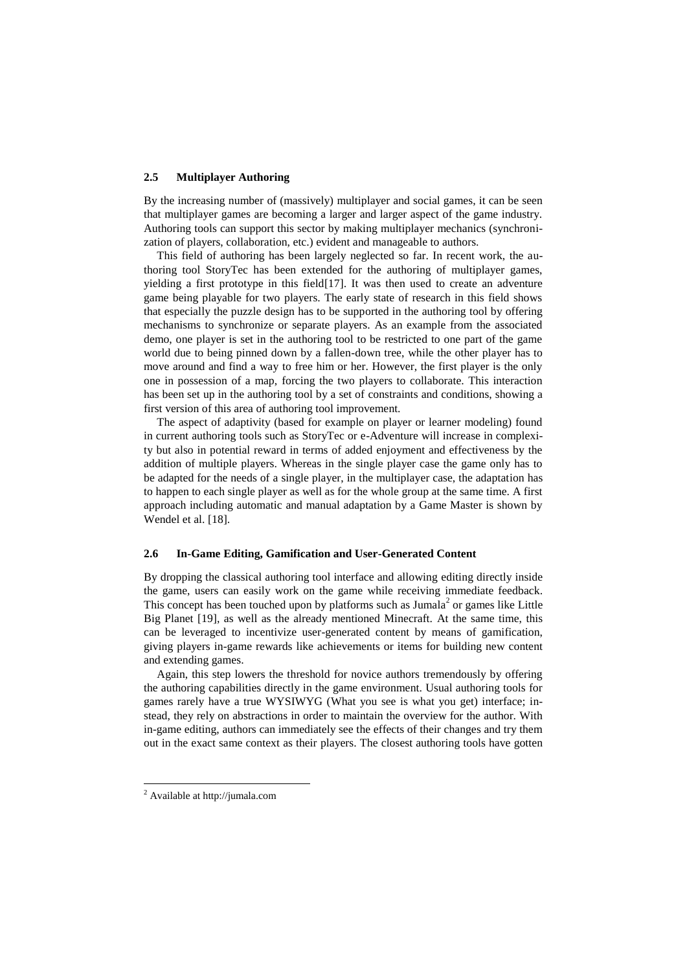### **2.5 Multiplayer Authoring**

By the increasing number of (massively) multiplayer and social games, it can be seen that multiplayer games are becoming a larger and larger aspect of the game industry. Authoring tools can support this sector by making multiplayer mechanics (synchronization of players, collaboration, etc.) evident and manageable to authors.

This field of authoring has been largely neglected so far. In recent work, the authoring tool StoryTec has been extended for the authoring of multiplayer games, yielding a first prototype in this field[17]. It was then used to create an adventure game being playable for two players. The early state of research in this field shows that especially the puzzle design has to be supported in the authoring tool by offering mechanisms to synchronize or separate players. As an example from the associated demo, one player is set in the authoring tool to be restricted to one part of the game world due to being pinned down by a fallen-down tree, while the other player has to move around and find a way to free him or her. However, the first player is the only one in possession of a map, forcing the two players to collaborate. This interaction has been set up in the authoring tool by a set of constraints and conditions, showing a first version of this area of authoring tool improvement.

The aspect of adaptivity (based for example on player or learner modeling) found in current authoring tools such as StoryTec or e-Adventure will increase in complexity but also in potential reward in terms of added enjoyment and effectiveness by the addition of multiple players. Whereas in the single player case the game only has to be adapted for the needs of a single player, in the multiplayer case, the adaptation has to happen to each single player as well as for the whole group at the same time. A first approach including automatic and manual adaptation by a Game Master is shown by Wendel et al. [18].

#### **2.6 In-Game Editing, Gamification and User-Generated Content**

By dropping the classical authoring tool interface and allowing editing directly inside the game, users can easily work on the game while receiving immediate feedback. This concept has been touched upon by platforms such as Jumala<sup>2</sup> or games like Little Big Planet [19], as well as the already mentioned Minecraft. At the same time, this can be leveraged to incentivize user-generated content by means of gamification, giving players in-game rewards like achievements or items for building new content and extending games.

Again, this step lowers the threshold for novice authors tremendously by offering the authoring capabilities directly in the game environment. Usual authoring tools for games rarely have a true WYSIWYG (What you see is what you get) interface; instead, they rely on abstractions in order to maintain the overview for the author. With in-game editing, authors can immediately see the effects of their changes and try them out in the exact same context as their players. The closest authoring tools have gotten

 $\overline{a}$ 

<sup>2</sup> Available at http://jumala.com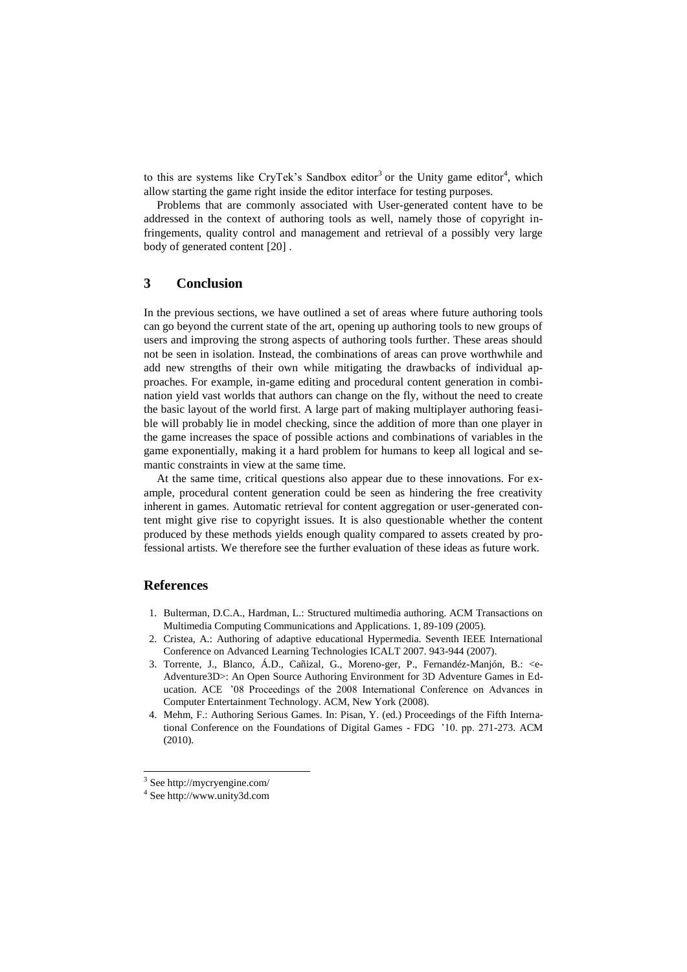to this are systems like CryTek's Sandbox editor<sup>3</sup> or the Unity game editor<sup>4</sup>, which allow starting the game right inside the editor interface for testing purposes.

Problems that are commonly associated with User-generated content have to be addressed in the context of authoring tools as well, namely those of copyright infringements, quality control and management and retrieval of a possibly very large body of generated content [20] .

# **3 Conclusion**

In the previous sections, we have outlined a set of areas where future authoring tools can go beyond the current state of the art, opening up authoring tools to new groups of users and improving the strong aspects of authoring tools further. These areas should not be seen in isolation. Instead, the combinations of areas can prove worthwhile and add new strengths of their own while mitigating the drawbacks of individual approaches. For example, in-game editing and procedural content generation in combination yield vast worlds that authors can change on the fly, without the need to create the basic layout of the world first. A large part of making multiplayer authoring feasible will probably lie in model checking, since the addition of more than one player in the game increases the space of possible actions and combinations of variables in the game exponentially, making it a hard problem for humans to keep all logical and semantic constraints in view at the same time.

At the same time, critical questions also appear due to these innovations. For example, procedural content generation could be seen as hindering the free creativity inherent in games. Automatic retrieval for content aggregation or user-generated content might give rise to copyright issues. It is also questionable whether the content produced by these methods yields enough quality compared to assets created by professional artists. We therefore see the further evaluation of these ideas as future work.

## **References**

- 1. Bulterman, D.C.A., Hardman, L.: Structured multimedia authoring. ACM Transactions on Multimedia Computing Communications and Applications. 1, 89-109 (2005).
- 2. Cristea, A.: Authoring of adaptive educational Hypermedia. Seventh IEEE International Conference on Advanced Learning Technologies ICALT 2007. 943-944 (2007).
- 3. Torrente, J., Blanco, Á.D., Cañizal, G., Moreno-ger, P., Fernandéz-Manjón, B.: <e-Adventure3D>: An Open Source Authoring Environment for 3D Adventure Games in Education. ACE '08 Proceedings of the 2008 International Conference on Advances in Computer Entertainment Technology. ACM, New York (2008).
- 4. Mehm, F.: Authoring Serious Games. In: Pisan, Y. (ed.) Proceedings of the Fifth International Conference on the Foundations of Digital Games - FDG '10. pp. 271-273. ACM (2010).

 $\overline{a}$ 

<sup>&</sup>lt;sup>3</sup> See http://mycryengine.com/

<sup>4</sup> See http://www.unity3d.com